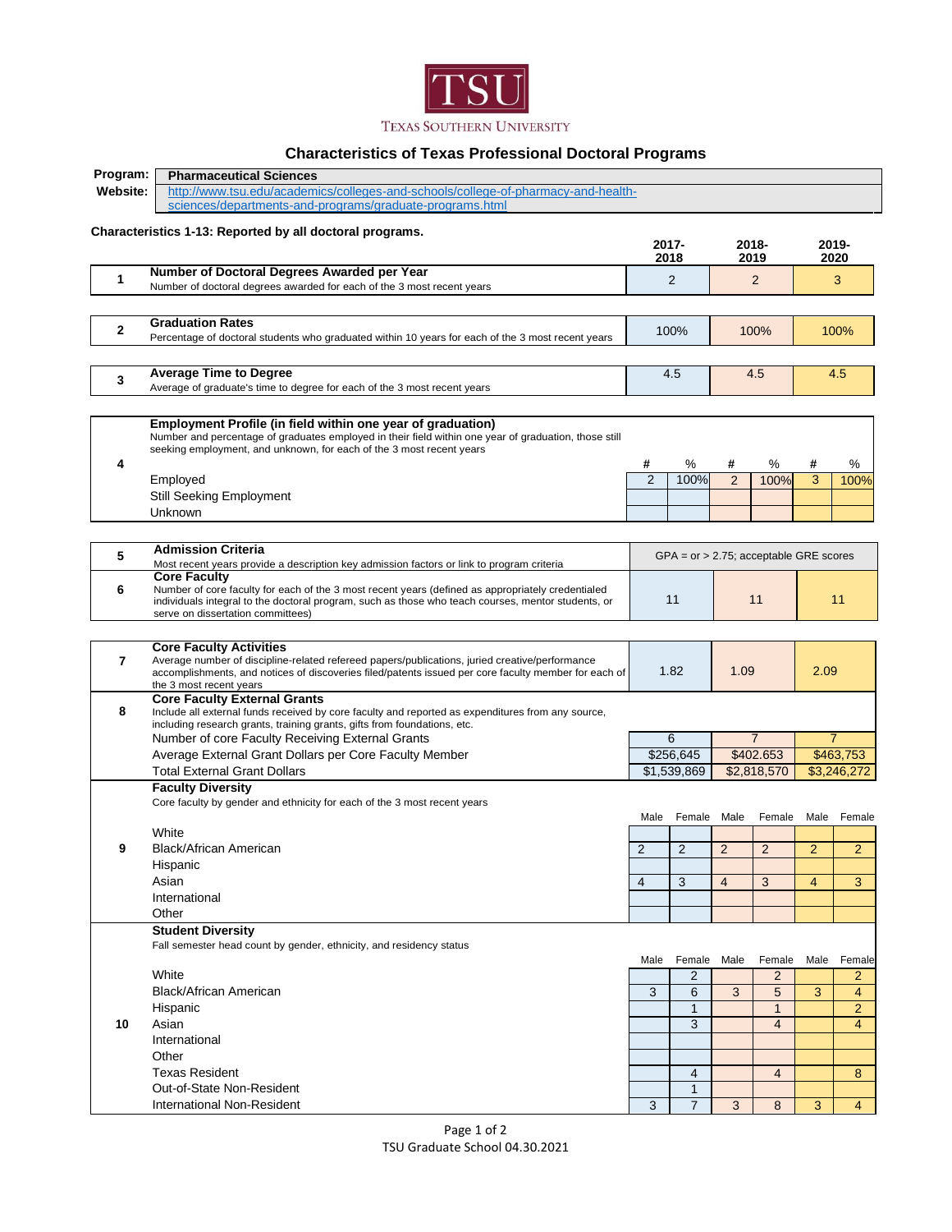

## **Characteristics of Texas Professional Doctoral Programs**

| Program:<br><b>Pharmaceutical Sciences</b> |                                                                                                                                                                                                        |                                           |                |                |                |                |                |  |
|--------------------------------------------|--------------------------------------------------------------------------------------------------------------------------------------------------------------------------------------------------------|-------------------------------------------|----------------|----------------|----------------|----------------|----------------|--|
| Website:                                   | http://www.tsu.edu/academics/colleges-and-schools/college-of-pharmacy-and-health-                                                                                                                      |                                           |                |                |                |                |                |  |
|                                            | sciences/departments-and-programs/graduate-programs.html                                                                                                                                               |                                           |                |                |                |                |                |  |
|                                            |                                                                                                                                                                                                        |                                           |                |                |                |                |                |  |
|                                            | Characteristics 1-13: Reported by all doctoral programs.                                                                                                                                               | 2017-                                     |                |                | 2018-          |                | 2019-          |  |
|                                            |                                                                                                                                                                                                        | 2018                                      |                |                | 2019           |                | 2020           |  |
|                                            | Number of Doctoral Degrees Awarded per Year                                                                                                                                                            |                                           |                |                |                |                |                |  |
| 1                                          | Number of doctoral degrees awarded for each of the 3 most recent years                                                                                                                                 | 2                                         |                | $\overline{2}$ |                | 3              |                |  |
|                                            |                                                                                                                                                                                                        |                                           |                |                |                |                |                |  |
|                                            | <b>Graduation Rates</b>                                                                                                                                                                                |                                           |                |                |                |                |                |  |
| 2                                          |                                                                                                                                                                                                        |                                           | 100%           |                | 100%           |                | 100%           |  |
|                                            | Percentage of doctoral students who graduated within 10 years for each of the 3 most recent years                                                                                                      |                                           |                |                |                |                |                |  |
|                                            |                                                                                                                                                                                                        |                                           |                |                |                |                |                |  |
| 3                                          | <b>Average Time to Degree</b>                                                                                                                                                                          |                                           | 4.5            |                | 4.5            | 4.5            |                |  |
|                                            | Average of graduate's time to degree for each of the 3 most recent years                                                                                                                               |                                           |                |                |                |                |                |  |
|                                            |                                                                                                                                                                                                        |                                           |                |                |                |                |                |  |
|                                            | Employment Profile (in field within one year of graduation)                                                                                                                                            |                                           |                |                |                |                |                |  |
|                                            | Number and percentage of graduates employed in their field within one year of graduation, those still                                                                                                  |                                           |                |                |                |                |                |  |
|                                            | seeking employment, and unknown, for each of the 3 most recent years                                                                                                                                   |                                           |                |                |                |                |                |  |
| 4                                          |                                                                                                                                                                                                        | #                                         | ℅              | #              | %              | #              | %              |  |
|                                            | Employed                                                                                                                                                                                               | $\overline{2}$                            | 100%           | 2              | 100%           | 3              | 100%           |  |
|                                            | Still Seeking Employment                                                                                                                                                                               |                                           |                |                |                |                |                |  |
|                                            | Unknown                                                                                                                                                                                                |                                           |                |                |                |                |                |  |
|                                            |                                                                                                                                                                                                        |                                           |                |                |                |                |                |  |
|                                            | <b>Admission Criteria</b>                                                                                                                                                                              |                                           |                |                |                |                |                |  |
| 5                                          | Most recent years provide a description key admission factors or link to program criteria                                                                                                              | $GPA = or > 2.75$ ; acceptable GRE scores |                |                |                |                |                |  |
|                                            | <b>Core Faculty</b>                                                                                                                                                                                    |                                           |                |                |                |                |                |  |
| 6                                          | Number of core faculty for each of the 3 most recent years (defined as appropriately credentialed                                                                                                      |                                           |                |                |                |                |                |  |
|                                            | individuals integral to the doctoral program, such as those who teach courses, mentor students, or                                                                                                     |                                           | 11             |                | 11             |                | 11             |  |
|                                            | serve on dissertation committees)                                                                                                                                                                      |                                           |                |                |                |                |                |  |
|                                            |                                                                                                                                                                                                        |                                           |                |                |                |                |                |  |
|                                            | <b>Core Faculty Activities</b>                                                                                                                                                                         |                                           |                |                |                |                |                |  |
| 7                                          | Average number of discipline-related refereed papers/publications, juried creative/performance<br>accomplishments, and notices of discoveries filed/patents issued per core faculty member for each of | 1.82                                      |                | 1.09           |                | 2.09           |                |  |
|                                            | the 3 most recent years                                                                                                                                                                                |                                           |                |                |                |                |                |  |
|                                            | <b>Core Faculty External Grants</b>                                                                                                                                                                    |                                           |                |                |                |                |                |  |
| 8                                          | Include all external funds received by core faculty and reported as expenditures from any source,                                                                                                      |                                           |                |                |                |                |                |  |
|                                            | including research grants, training grants, gifts from foundations, etc.                                                                                                                               |                                           |                |                |                |                |                |  |
|                                            | Number of core Faculty Receiving External Grants                                                                                                                                                       |                                           | 6              | $\overline{7}$ |                | $\overline{7}$ |                |  |
|                                            | Average External Grant Dollars per Core Faculty Member                                                                                                                                                 |                                           | \$256,645      | \$402.653      |                | \$463,753      |                |  |
|                                            | <b>Total External Grant Dollars</b>                                                                                                                                                                    |                                           | \$1,539,869    | \$2.818.570    |                | \$3,246,272    |                |  |
|                                            | <b>Faculty Diversity</b>                                                                                                                                                                               |                                           |                |                |                |                |                |  |
|                                            | Core faculty by gender and ethnicity for each of the 3 most recent years                                                                                                                               |                                           |                |                |                |                |                |  |
|                                            |                                                                                                                                                                                                        | Male                                      | Female         | Male           | Female         | Male           | Female         |  |
|                                            | White                                                                                                                                                                                                  |                                           |                |                |                |                |                |  |
| 9                                          | Black/African American                                                                                                                                                                                 | 2                                         | 2              | 2              | $\overline{2}$ | $\overline{2}$ | $\overline{2}$ |  |
|                                            | Hispanic                                                                                                                                                                                               |                                           |                |                |                |                |                |  |
|                                            | Asian                                                                                                                                                                                                  | 4                                         | 3              | 4              | 3              | 4              | 3              |  |
|                                            | International                                                                                                                                                                                          |                                           |                |                |                |                |                |  |
|                                            | Other                                                                                                                                                                                                  |                                           |                |                |                |                |                |  |
|                                            | <b>Student Diversity</b>                                                                                                                                                                               |                                           |                |                |                |                |                |  |
|                                            | Fall semester head count by gender, ethnicity, and residency status                                                                                                                                    |                                           |                |                |                |                |                |  |
|                                            |                                                                                                                                                                                                        | Male                                      | Female Male    |                | Female         | Male           | Female         |  |
|                                            | White                                                                                                                                                                                                  |                                           | $\overline{2}$ |                | $\overline{2}$ |                | $\overline{2}$ |  |
|                                            | Black/African American                                                                                                                                                                                 | 3                                         | 6              | 3              | 5              | 3              | $\overline{4}$ |  |
|                                            | Hispanic                                                                                                                                                                                               |                                           | $\mathbf{1}$   |                | $\mathbf{1}$   |                | $\overline{c}$ |  |
| 10                                         | Asian                                                                                                                                                                                                  |                                           | 3              |                | $\overline{4}$ |                | $\overline{4}$ |  |
|                                            |                                                                                                                                                                                                        |                                           |                |                |                |                |                |  |
|                                            | International                                                                                                                                                                                          |                                           |                |                |                |                |                |  |
|                                            | Other                                                                                                                                                                                                  |                                           |                |                |                |                |                |  |
|                                            | <b>Texas Resident</b>                                                                                                                                                                                  |                                           | 4              |                | $\overline{4}$ |                | 8              |  |
|                                            | Out-of-State Non-Resident                                                                                                                                                                              |                                           | $\mathbf{1}$   |                |                |                |                |  |
|                                            | <b>International Non-Resident</b>                                                                                                                                                                      | 3                                         | $\overline{7}$ | 3              | 8              | 3              | $\overline{4}$ |  |